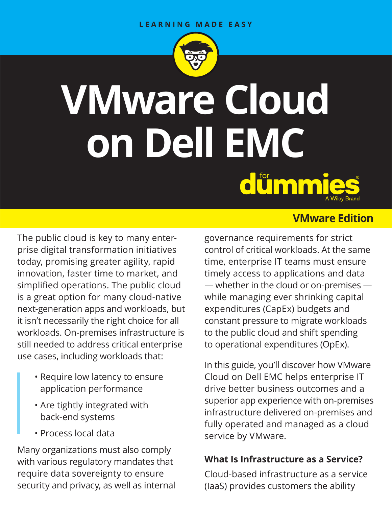#### LEARNING MADE EASY



# **VMware Cloud on Dell EMC**  dümmie

The public cloud is key to many enterprise digital transformation initiatives today, promising greater agility, rapid innovation, faster time to market, and simplified operations. The public cloud is a great option for many cloud-native next-generation apps and workloads, but it isn't necessarily the right choice for all workloads. On-premises infrastructure is still needed to address critical enterprise use cases, including workloads that:

- Require low latency to ensure application performance
- Are tightly integrated with back-end systems
- Process local data

Many organizations must also comply with various regulatory mandates that require data sovereignty to ensure security and privacy, as well as internal

## **VMware Edition**

governance requirements for strict control of critical workloads. At the same time, enterprise IT teams must ensure timely access to applications and data — whether in the cloud or on-premises while managing ever shrinking capital expenditures (CapEx) budgets and constant pressure to migrate workloads to the public cloud and shift spending to operational expenditures (OpEx).

In this guide, you'll discover how VMware Cloud on Dell EMC helps enterprise IT drive better business outcomes and a superior app experience with on-premises infrastructure delivered on-premises and fully operated and managed as a cloud service by VMware.

## **What Is Infrastructure as a Service?**

Cloud-based infrastructure as a service (IaaS) provides customers the ability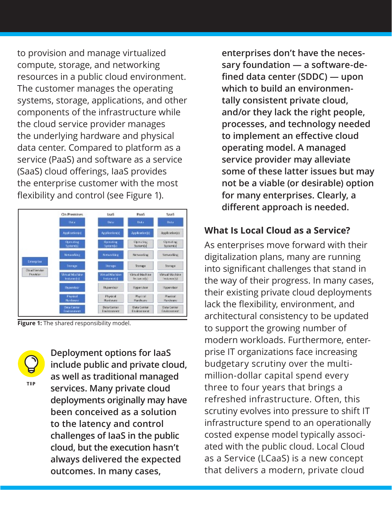to provision and manage virtualized compute, storage, and networking resources in a public cloud environment. The customer manages the operating systems, storage, applications, and other components of the infrastructure while the cloud service provider manages the underlying hardware and physical data center. Compared to platform as a service (PaaS) and software as a service (SaaS) cloud offerings, IaaS provides the enterprise customer with the most flexibility and control (see Figure 1).



**Figure 1:** The shared responsibility model.

**Deployment options for IaaS include public and private cloud, as well as traditional managed services. Many private cloud deployments originally may have been conceived as a solution to the latency and control challenges of IaaS in the public cloud, but the execution hasn't always delivered the expected outcomes. In many cases,** 

**enterprises don't have the necessary foundation — a software-defined data center (SDDC) — upon which to build an environmentally consistent private cloud, and/or they lack the right people, processes, and technology needed to implement an effective cloud operating model. A managed service provider may alleviate some of these latter issues but may not be a viable (or desirable) option for many enterprises. Clearly, a different approach is needed.**

#### **What Is Local Cloud as a Service?**

As enterprises move forward with their digitalization plans, many are running into significant challenges that stand in the way of their progress. In many cases, their existing private cloud deployments lack the flexibility, environment, and architectural consistency to be updated to support the growing number of modern workloads. Furthermore, enterprise IT organizations face increasing budgetary scrutiny over the multimillion-dollar capital spend every three to four years that brings a refreshed infrastructure. Often, this scrutiny evolves into pressure to shift IT infrastructure spend to an operationally costed expense model typically associated with the public cloud. Local Cloud as a Service (LCaaS) is a new concept that delivers a modern, private cloud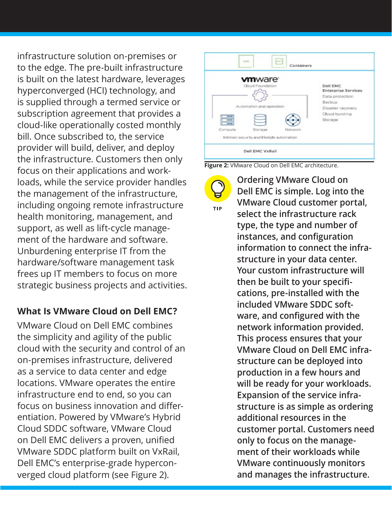infrastructure solution on-premises or to the edge. The pre-built infrastructure is built on the latest hardware, leverages hyperconverged (HCI) technology, and is supplied through a termed service or subscription agreement that provides a cloud-like operationally costed monthly bill. Once subscribed to, the service provider will build, deliver, and deploy the infrastructure. Customers then only focus on their applications and workloads, while the service provider handles the management of the infrastructure, including ongoing remote infrastructure health monitoring, management, and support, as well as lift-cycle management of the hardware and software. Unburdening enterprise IT from the hardware/software management task frees up IT members to focus on more strategic business projects and activities.

## **What Is VMware Cloud on Dell EMC?**

VMware Cloud on Dell EMC combines the simplicity and agility of the public cloud with the security and control of an on-premises infrastructure, delivered as a service to data center and edge locations. VMware operates the entire infrastructure end to end, so you can focus on business innovation and differentiation. Powered by VMware's Hybrid Cloud SDDC software, VMware Cloud on Dell EMC delivers a proven, unified VMware SDDC platform built on VxRail, Dell EMC's enterprise-grade hyperconverged cloud platform (see Figure 2).



**Ordering VMware Cloud on** 

**Figure 2:** VMware Cloud on Dell EMC architecture.



**Dell EMC is simple. Log into the VMware Cloud customer portal, select the infrastructure rack type, the type and number of instances, and configuration information to connect the infrastructure in your data center. Your custom infrastructure will then be built to your specifications, pre-installed with the included VMware SDDC software, and configured with the network information provided. This process ensures that your VMware Cloud on Dell EMC infrastructure can be deployed into production in a few hours and will be ready for your workloads. Expansion of the service infrastructure is as simple as ordering additional resources in the customer portal. Customers need only to focus on the management of their workloads while VMware continuously monitors and manages the infrastructure.**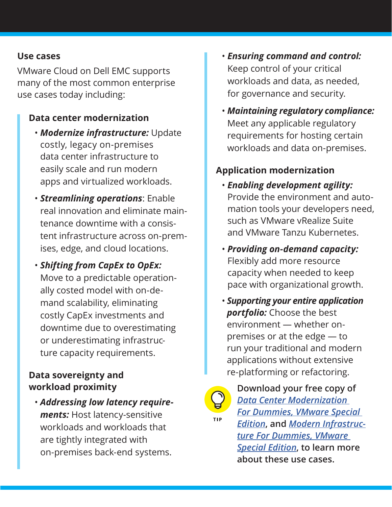#### **Use cases**

VMware Cloud on Dell EMC supports many of the most common enterprise use cases today including:

## **Data center modernization**

- *Modernize infrastructure:* Update costly, legacy on-premises data center infrastructure to easily scale and run modern apps and virtualized workloads.
- *Streamlining operations*: Enable real innovation and eliminate maintenance downtime with a consistent infrastructure across on-premises, edge, and cloud locations.
- *Shifting from CapEx to OpEx:*  Move to a predictable operationally costed model with on-demand scalability, eliminating costly CapEx investments and downtime due to overestimating or underestimating infrastructure capacity requirements.

## **Data sovereignty and workload proximity**

• *Addressing low latency requirements:* Host latency-sensitive workloads and workloads that are tightly integrated with on-premises back-end systems.

- *Ensuring command and control:*  Keep control of your critical workloads and data, as needed, for governance and security.
- *Maintaining regulatory compliance:* Meet any applicable regulatory requirements for hosting certain workloads and data on-premises.

## **Application modernization**

- *Enabling development agility:*  Provide the environment and automation tools your developers need, such as VMware vRealize Suite and VMware Tanzu Kubernetes.
- *Providing on-demand capacity:*  Flexibly add more resource capacity when needed to keep pace with organizational growth.
- *Supporting your entire application portfolio:* Choose the best environment — whether onpremises or at the edge — to run your traditional and modern applications without extensive re-platforming or refactoring.



**Download your free copy of**  *[Data Center Modernization](https://www.vmware.com/content/dam/learn/en/amer/fy20/pdf/dcma-0424_data_center_modernization_dummies.pdf)* 

*[For Dummies, VMware Special](https://www.vmware.com/content/dam/learn/en/amer/fy20/pdf/dcma-0424_data_center_modernization_dummies.pdf)  [Edition](https://www.vmware.com/content/dam/learn/en/amer/fy20/pdf/dcma-0424_data_center_modernization_dummies.pdf)***, and** *[Modern Infrastruc](https://www.vmware.com/content/microsites/learn/en/545083_REG.html)[ture For Dummies, VMware](https://www.vmware.com/content/microsites/learn/en/545083_REG.html)  [Special Edition](https://www.vmware.com/content/microsites/learn/en/545083_REG.html)***, to learn more about these use cases.**